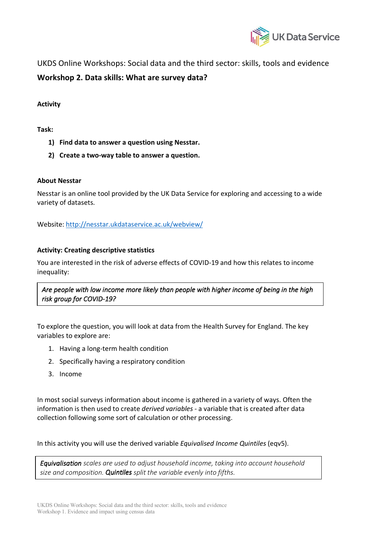

UKDS Online Workshops: Social data and the third sector: skills, tools and evidence **Workshop 2. Data skills: What are survey data?**

# **Activity**

### **Task:**

- **1) Find data to answer a question using Nesstar.**
- **2) Create a two-way table to answer a question.**

# **About Nesstar**

Nesstar is an online tool provided by the UK Data Service for exploring and accessing to a wide variety of datasets.

Website: http://nesstar.ukdataservice.ac.uk/webview/

# **Activity: Creating descriptive statistics**

You are interested in the risk of adverse effects of COVID-19 and how this relates to income inequality:

*Are people with low income more likely than people with higher income of being in the high risk group for COVID-19?*

To explore the question, you will look at data from the Health Survey for England. The key variables to explore are:

- 1. Having a long-term health condition
- 2. Specifically having a respiratory condition
- 3. Income

In most social surveys information about income is gathered in a variety of ways. Often the information is then used to create *derived variables* - a variable that is created after data collection following some sort of calculation or other processing.

In this activity you will use the derived variable *Equivalised Income Quintiles* (eqv5).

*Equivalisation scales are used to adjust household income, taking into account household size and composition. Quintiles split the variable evenly into fifths.*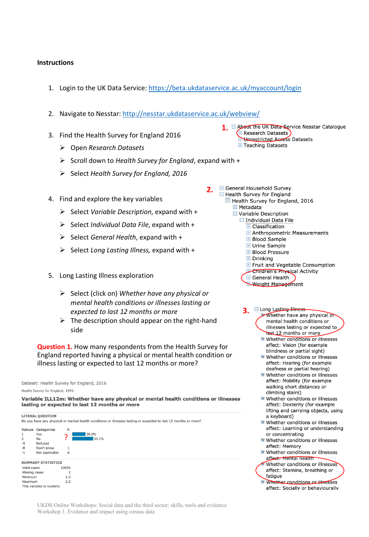### **Instructions**

1. Login to the UK Data Service: https://beta.ukdataservice.ac.uk/myaccount/login

**2.**

- 2. Navigate to Nesstar: http://nesstar.ukdataservice.ac.uk/webview/
- 3. Find the Health Survey for England 2016
	- Ø Open *Research Datasets*
	- Ø Scroll down to *Health Survey for England*, expand with +
	- Ø Select *Health Survey for England, 2016*
- 4. Find and explore the key variables
	- Ø Select *Variable Description*, expand with +
	- Ø Select *Individual Data File*, expand with +
	- Ø Select *General Health*, expand with +
	- Ø Select *Long Lasting Illness,* expand with +
- 5. Long Lasting Illness exploration
	- Ø Select (click on) *Whether have any physical or mental health conditions or illnesses lasting or expected to last 12 months or more*
	- $\triangleright$  The description should appear on the right-hand side

**Question 1.** How many respondents from the Health Survey for England reported having a physical or mental health condition or illness lasting or expected to last 12 months or more?

Dataset: Health Survey for England, 2016 Health Survey for England, 1991-

Variable ILL12m: Whether have any physical or mental health conditions or illnesses lasting or expected to last 12 months or more

|                                                                                                                  | <b>LITERAL QUESTION</b>   |              |       |  |
|------------------------------------------------------------------------------------------------------------------|---------------------------|--------------|-------|--|
| Do you have any physical or mental health conditions or illnesses lasting or expected to last 12 months or more? |                           |              |       |  |
| Values                                                                                                           | Categories                | N            |       |  |
|                                                                                                                  | Yes                       |              | 38.9% |  |
| $\overline{2}$                                                                                                   | <b>No</b>                 |              | 61.1% |  |
| $-9$                                                                                                             | Refused                   |              |       |  |
| $-8$                                                                                                             | Don't know                | 1            |       |  |
| $-1$                                                                                                             | Not applicable            | $\mathbf{0}$ |       |  |
|                                                                                                                  | <b>SUMMARY STATISTICS</b> |              |       |  |
| Valid cases                                                                                                      |                           | 10065        |       |  |
| Missing cases                                                                                                    |                           | 2            |       |  |
| Minimum                                                                                                          |                           | 1.0          |       |  |
| Maximum                                                                                                          |                           | 2.0          |       |  |
|                                                                                                                  | This variable is numeric  |              |       |  |

UKDS Online Workshops: Social data and the third sector: skills, tools and evidence Workshop 1. Evidence and impact using census data

- 1. E About the UK Data-Service Nesstar Catalogue E Research Datasets Hunrestricted Access Datasets **E** Teaching Datasets
- **E** General Household Survey □ Health Survey for England Health Survey for England, 2016  $H$  Metadata □ Variable Description  $\Box$  Individual Data File **El** Classification **H** Anthropometric Measurements **E** Blood Sample **E** Urine Sample **El Blood Pressure**  $\boxplus$  Drinking
	- F Fruit and Vegetable Consumption
	- **Electritdren's Physical Activity E** General Health
	- Weight Management
	- **3.** Elong Lasting Illness Whether have any physical or mental health conditions or illnesses lasting or expected to **hast\_12** months or more
		- Whether conditions or illnesses affect: Vision (for example blindness or partial sight) Whether conditions or illnesses
		- affect: Hearing (for example deafness or partial hearing) Whether conditions or illnesses
		- affect: Mobility (for example walking short distances or climbing stairs)
		- Whether conditions or illnesses affect: Dexterity (for example lifting and carrying objects, using a keyboard)
		- Whether conditions or illnesses affect: Learning or understanding or concentrating
		- Whether conditions or illnesses affect: Memory
		- Whether conditions or illnesses affect: Mental health
		- Whether conditions or illnesses affect: Stamina, breathing or fatique
		- Whether conditions or illnesses affect: Socially or behaviourally